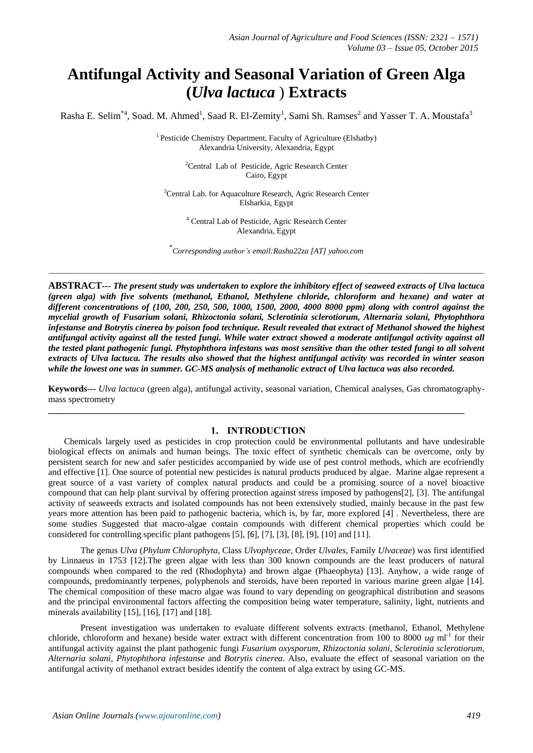# **Antifungal Activity and Seasonal Variation of Green Alga (***Ulva lactuca* ) **Extracts**

Rasha E. Selim<sup>\*4</sup>, Soad. M. Ahmed<sup>1</sup>, Saad R. El-Zemity<sup>1</sup>, Sami Sh. Ramses<sup>2</sup> and Yasser T. A. Moustafa<sup>3</sup>

<sup>1</sup> Pesticide Chemistry Department, Faculty of Agriculture (Elshatby) Alexandria University, Alexandria, Egypt

> <sup>2</sup>Central Lab of Pesticide, Agric Research Center Cairo, Egypt

<sup>3</sup>Central Lab. for Aquaculture Research, Agric Research Center Elsharkia, Egypt

> <sup>4</sup> Central Lab of Pesticide, Agric Research Center Alexandria, Egypt

\* *Corresponding author's email:Rasha22za [AT] yahoo.com*

*\_\_\_\_\_\_\_\_\_\_\_\_\_\_\_\_\_\_\_\_\_\_\_\_\_\_\_\_\_\_\_\_\_\_\_\_\_\_\_\_\_\_\_\_\_\_\_\_\_\_\_\_\_\_\_\_\_\_\_\_\_\_\_\_\_\_\_\_\_\_\_\_\_\_\_\_\_\_\_\_\_\_\_\_\_\_\_\_\_\_\_\_\_\_\_\_\_\_\_\_\_\_\_\_\_\_\_\_*

**ABSTRACT***--- The present study was undertaken to explore the inhibitory effect of seaweed extracts of Ulva lactuca (green alga) with five solvents (methanol, Ethanol, Methylene chloride, chloroform and hexane) and water at different concentrations of (100, 200, 250, 500, 1000, 1500, 2000, 4000 8000 ppm) along with control against the mycelial growth of Fusarium solani, Rhizoctonia solani, Sclerotinia sclerotiorum, Alternaria solani, Phytophthora infestanse and Botrytis cinerea by poison food technique. Result revealed that extract of Methanol showed the highest antifungal activity against all the tested fungi. While water extract showed a moderate antifungal activity against all the tested plant pathogenic fungi. Phytophthora infestans was most sensitive than the other tested fungi to all solvent extracts of Ulva lactuca. The results also showed that the highest antifungal activity was recorded in winter season while the lowest one was in summer. GC-MS analysis of methanolic extract of Ulva lactuca was also recorded.*

**Keywords---** *Ulva lactuca* (green alga), antifungal activity, seasonal variation, Chemical analyses, Gas chromatographymass spectrometry

#### **1. INTRODUCTION**

**\_\_\_\_\_\_\_\_\_\_\_\_\_\_\_\_\_\_\_\_\_\_\_\_\_\_\_\_\_\_\_\_\_\_\_\_\_\_\_\_\_\_\_\_\_\_\_\_\_\_\_\_\_\_\_\_\_\_\_\_\_\_\_\_\_\_\_\_\_\_\_\_\_\_\_\_\_\_\_\_\_\_\_\_\_\_\_\_\_\_\_\_\_**

 Chemicals largely used as pesticides in crop protection could be environmental pollutants and have undesirable biological effects on animals and human beings. The toxic effect of synthetic chemicals can be overcome, only by persistent search for new and safer pesticides accompanied by wide use of pest control methods, which are ecofriendly and effective [1]. One source of potential new pesticides is natural products produced by algae. Marine algae represent a great source of a vast variety of complex natural products and could be a promising source of a novel bioactive compound that can help plant survival by offering protection against stress imposed by pathogens[2], [3]. The antifungal activity of seaweeds extracts and isolated compounds has not been extensively studied, mainly because in the past few years more attention has been paid to pathogenic bacteria, which is, by far, more explored [4] . Nevertheless, there are some studies Suggested that macro-algae contain compounds with different chemical properties which could be considered for controlling specific plant pathogens [5], [6], [7], [3], [8], [9], [10] and [11].

The genus *Ulva* (*Phylum Chlorophyta*, Class *Ulvophyceae*, Order *Ulvales*, Family *Ulvaceae*) was first identified by Linnaeus in 1753 [12].The green algae with less than 300 known compounds are the least producers of natural compounds when compared to the red (Rhodophyta) and brown algae (Phaeophyta) [13]. Anyhow, a wide range of compounds, predominantly terpenes, polyphenols and steroids, have been reported in various marine green algae [14]. The chemical composition of these macro algae was found to vary depending on geographical distribution and seasons and the principal environmental factors affecting the composition being water temperature, salinity, light, nutrients and minerals availability [15], [16], [17] and [18].

Present investigation was undertaken to evaluate different solvents extracts (methanol, Ethanol, Methylene chloride, chloroform and hexane) beside water extract with different concentration from 100 to 8000 *ug* ml<sup>-1</sup> for their antifungal activity against the plant pathogenic fungi *Fusarium oxysporum, Rhizoctonia solani, Sclerotinia sclerotiorum, Alternaria solani, Phytophthora infestanse* and *Botrytis cinerea*. Also, evaluate the effect of seasonal variation on the antifungal activity of methanol extract besides identify the content of alga extract by using GC-MS.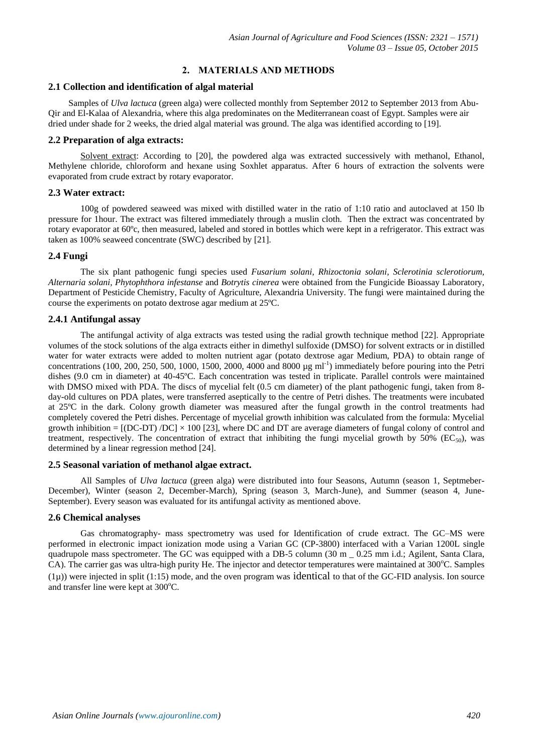## **2. MATERIALS AND METHODS**

#### **2.1 Collection and identification of algal material**

 Samples of *Ulva lactuca* (green alga) were collected monthly from September 2012 to September 2013 from Abu-Qir and El-Kalaa of Alexandria, where this alga predominates on the Mediterranean coast of Egypt. Samples were air dried under shade for 2 weeks, the dried algal material was ground. The alga was identified according to [19].

#### **2.2 Preparation of alga extracts:**

Solvent extract: According to [20], the powdered alga was extracted successively with methanol, Ethanol, Methylene chloride, chloroform and hexane using Soxhlet apparatus. After 6 hours of extraction the solvents were evaporated from crude extract by rotary evaporator.

## **2.3 Water extract:**

100g of powdered seaweed was mixed with distilled water in the ratio of 1:10 ratio and autoclaved at 150 lb pressure for 1hour. The extract was filtered immediately through a muslin cloth. Then the extract was concentrated by rotary evaporator at 60ºc, then measured, labeled and stored in bottles which were kept in a refrigerator. This extract was taken as 100% seaweed concentrate (SWC) described by [21].

## **2.4 Fungi**

The six plant pathogenic fungi species used *Fusarium solani, Rhizoctonia solani, Sclerotinia sclerotiorum, Alternaria solani, Phytophthora infestanse* and *Botrytis cinerea* were obtained from the Fungicide Bioassay Laboratory, Department of Pesticide Chemistry, Faculty of Agriculture, Alexandria University. The fungi were maintained during the course the experiments on potato dextrose agar medium at 25ºC.

## **2.4.1 Antifungal assay**

The antifungal activity of alga extracts was tested using the radial growth technique method [22]. Appropriate volumes of the stock solutions of the alga extracts either in dimethyl sulfoxide (DMSO) for solvent extracts or in distilled water for water extracts were added to molten nutrient agar (potato dextrose agar Medium, PDA) to obtain range of concentrations (100, 200, 250, 500, 1000, 1500, 2000, 4000 and 8000  $\mu$ g ml<sup>-1</sup>) immediately before pouring into the Petri dishes (9.0 cm in diameter) at 40-45ºC. Each concentration was tested in triplicate. Parallel controls were maintained with DMSO mixed with PDA. The discs of mycelial felt (0.5 cm diameter) of the plant pathogenic fungi, taken from 8day-old cultures on PDA plates, were transferred aseptically to the centre of Petri dishes. The treatments were incubated at 25ºC in the dark. Colony growth diameter was measured after the fungal growth in the control treatments had completely covered the Petri dishes. Percentage of mycelial growth inhibition was calculated from the formula: Mycelial growth inhibition =  $[(DC-DT)/DC] \times 100$  [23], where DC and DT are average diameters of fungal colony of control and treatment, respectively. The concentration of extract that inhibiting the fungi mycelial growth by 50% ( $EC_{50}$ ), was determined by a linear regression method [24].

## **2.5 Seasonal variation of methanol algae extract.**

All Samples of *Ulva lactuca* (green alga) were distributed into four Seasons, Autumn (season 1, Septmeber-December), Winter (season 2, December-March), Spring (season 3, March-June), and Summer (season 4, June-September). Every season was evaluated for its antifungal activity as mentioned above.

## **2.6 Chemical analyses**

Gas chromatography- mass spectrometry was used for Identification of crude extract. The GC–MS were performed in electronic impact ionization mode using a Varian GC (CP-3800) interfaced with a Varian 1200L single quadrupole mass spectrometer. The GC was equipped with a DB-5 column (30 m = 0.25 mm i.d.; Agilent, Santa Clara, CA). The carrier gas was ultra-high purity He. The injector and detector temperatures were maintained at 300°C. Samples  $(1\mu)$ ) were injected in split  $(1:15)$  mode, and the oven program was identical to that of the GC-FID analysis. Ion source and transfer line were kept at  $300^{\circ}$ C.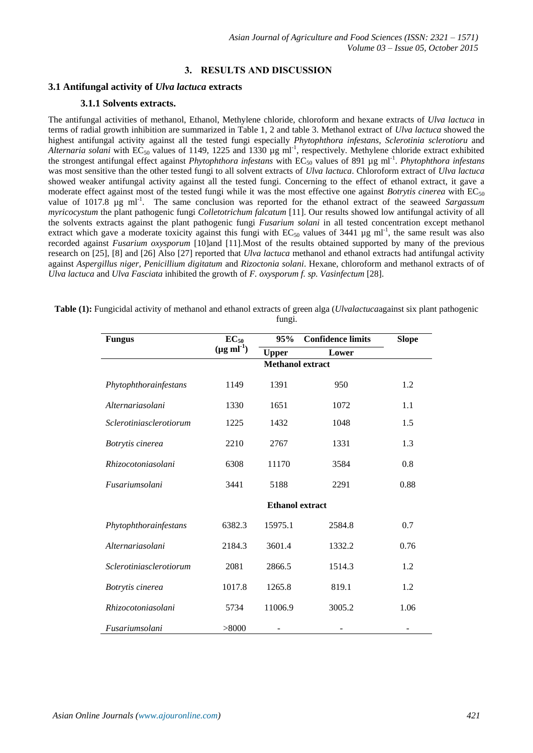# **3. RESULTS AND DISCUSSION**

## **3.1 Antifungal activity of** *Ulva lactuca* **extracts**

## **3.1.1 Solvents extracts.**

The antifungal activities of methanol, Ethanol, Methylene chloride, chloroform and hexane extracts of *Ulva lactuca* in terms of radial growth inhibition are summarized in Table 1, 2 and table 3. Methanol extract of *Ulva lactuca* showed the highest antifungal activity against all the tested fungi especially *Phytophthora infestans*, *Sclerotinia sclerotioru* and Alternaria solani with  $EC_{50}$  values of 1149, 1225 and 1330  $\mu$ g ml<sup>-1</sup>, respectively. Methylene chloride extract exhibited the strongest antifungal effect against *Phytophthora infestans* with EC<sub>50</sub> values of 891 µg ml<sup>-1</sup>. *Phytophthora infestans* was most sensitive than the other tested fungi to all solvent extracts of *Ulva lactuca*. Chloroform extract of *Ulva lactuca* showed weaker antifungal activity against all the tested fungi. Concerning to the effect of ethanol extract, it gave a moderate effect against most of the tested fungi while it was the most effective one against *Botrytis cinerea* with EC<sub>50</sub> value of 1017.8 µg ml<sup>-1</sup>. The same conclusion was reported for the ethanol extract of the seaweed Sargassum *myricocystum* the plant pathogenic fungi *Colletotrichum falcatum* [11]. Our results showed low antifungal activity of all the solvents extracts against the plant pathogenic fungi *Fusarium solani* in all tested concentration except methanol extract which gave a moderate toxicity against this fungi with  $EC_{50}$  values of 3441  $\mu$ g ml<sup>-1</sup>, the same result was also recorded against *Fusarium oxysporum* [10]and [11].Most of the results obtained supported by many of the previous research on [25], [8] and [26] Also [27] reported that *Ulva lactuca* methanol and ethanol extracts had antifungal activity against *Aspergillus niger, Penicillium digitatum* and *Rizoctonia solani*. Hexane, chloroform and methanol extracts of of *Ulva lactuca* and *Ulva Fasciata* inhibited the growth of *F. oxysporum f. sp. Vasinfectum* [28].

**Table (1):** Fungicidal activity of methanol and ethanol extracts of green alga (*Ulvalactuca*against six plant pathogenic fungi.

| <b>Fungus</b>           | $EC_{50}$                 | 95%                     | <b>Confidence limits</b> | <b>Slope</b> |  |  |  |
|-------------------------|---------------------------|-------------------------|--------------------------|--------------|--|--|--|
|                         | $(\mu g \text{ ml}^{-1})$ | <b>Upper</b>            | Lower                    |              |  |  |  |
|                         |                           | <b>Methanol extract</b> |                          |              |  |  |  |
| Phytophthorainfestans   | 1149                      | 1391                    | 950                      | 1.2          |  |  |  |
| Alternariasolani        | 1330                      | 1651                    | 1072                     | 1.1          |  |  |  |
| Sclerotiniasclerotiorum | 1225                      | 1432                    | 1048                     | 1.5          |  |  |  |
| Botrytis cinerea        | 2210                      | 2767                    | 1331                     | 1.3          |  |  |  |
| Rhizocotoniasolani      | 6308                      | 11170                   | 3584                     | 0.8          |  |  |  |
| Fusariumsolani          | 3441                      | 5188                    | 2291                     | 0.88         |  |  |  |
|                         | <b>Ethanol</b> extract    |                         |                          |              |  |  |  |
| Phytophthorainfestans   | 6382.3                    | 15975.1                 | 2584.8                   | 0.7          |  |  |  |
| Alternariasolani        | 2184.3                    | 3601.4                  | 1332.2                   | 0.76         |  |  |  |
| Sclerotiniasclerotiorum | 2081                      | 2866.5                  | 1514.3                   | 1.2          |  |  |  |
| Botrytis cinerea        | 1017.8                    | 1265.8                  | 819.1                    | 1.2          |  |  |  |
| Rhizocotoniasolani      | 5734                      | 11006.9                 | 3005.2                   | 1.06         |  |  |  |
| Fusariumsolani          | > 8000                    |                         |                          |              |  |  |  |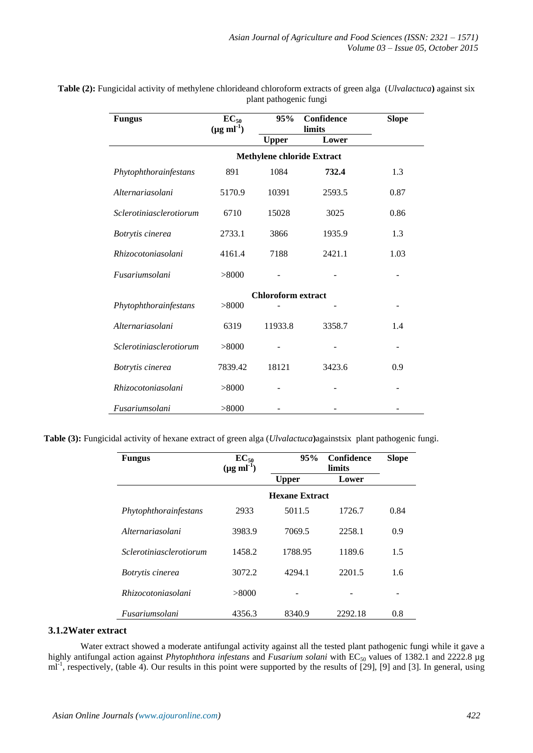| <b>Fungus</b>           | $EC_{50}$<br>$(\mu g \text{ ml}^{-1})$ | 95%                       | Confidence<br>limits              | <b>Slope</b> |
|-------------------------|----------------------------------------|---------------------------|-----------------------------------|--------------|
|                         |                                        | <b>Upper</b>              | Lower                             |              |
|                         |                                        |                           | <b>Methylene chloride Extract</b> |              |
| Phytophthorainfestans   | 891                                    | 1084                      | 732.4                             | 1.3          |
| Alternariasolani        | 5170.9                                 | 10391                     | 2593.5                            | 0.87         |
| Sclerotiniasclerotiorum | 6710                                   | 15028                     | 3025                              | 0.86         |
| Botrytis cinerea        | 2733.1                                 | 3866                      | 1935.9                            | 1.3          |
| Rhizocotoniasolani      | 4161.4                                 | 7188                      | 2421.1                            | 1.03         |
| Fusariumsolani          | > 8000                                 |                           |                                   |              |
|                         |                                        | <b>Chloroform extract</b> |                                   |              |
| Phytophthorainfestans   | > 8000                                 |                           |                                   |              |
| Alternariasolani        | 6319                                   | 11933.8                   | 3358.7                            | 1.4          |
| Sclerotiniasclerotiorum | > 8000                                 |                           |                                   |              |
| Botrytis cinerea        | 7839.42                                | 18121                     | 3423.6                            | 0.9          |
| Rhizocotoniasolani      | > 8000                                 |                           |                                   |              |
| Fusariumsolani          | > 8000                                 |                           |                                   |              |

**Table (2):** Fungicidal activity of methylene chlorideand chloroform extracts of green alga (*Ulvalactuca***)** against six plant pathogenic fungi

 **Table (3):** Fungicidal activity of hexane extract of green alga (*Ulvalactuca***)**againstsix plant pathogenic fungi.

| <b>Fungus</b>                | $EC_{50}$<br>$(\mu g \text{ ml}^{-1})$ | 95%          | Confidence<br>limits  | <b>Slope</b> |  |  |
|------------------------------|----------------------------------------|--------------|-----------------------|--------------|--|--|
|                              |                                        | <b>Upper</b> | Lower                 |              |  |  |
|                              |                                        |              | <b>Hexane Extract</b> |              |  |  |
| Phytophthorainfestans        | 2933                                   | 5011.5       | 1726.7                | 0.84         |  |  |
| Alternariasolani             | 3983.9                                 | 7069.5       | 2258.1                | 0.9          |  |  |
| Sclerotiniasclerotiorum      | 1458.2                                 | 1788.95      | 1189.6                | 1.5          |  |  |
| Botrytis cinerea             | 3072.2                                 | 4294.1       | 2201.5                | 1.6          |  |  |
| <i>Rhizocotoniasolani</i>    | > 8000                                 |              |                       |              |  |  |
| <i><b>Fusariumsolani</b></i> | 4356.3                                 | 8340.9       | 2292.18               | 0.8          |  |  |

## **3.1.2Water extract**

Water extract showed a moderate antifungal activity against all the tested plant pathogenic fungi while it gave a highly antifungal action against *Phytophthora infestans* and *Fusarium solani* with EC<sub>50</sub> values of 1382.1 and 2222.8 µg ml<sup>-1</sup>, respectively, (table 4). Our results in this point were supported by the results of [29], [9] and [3]. In general, using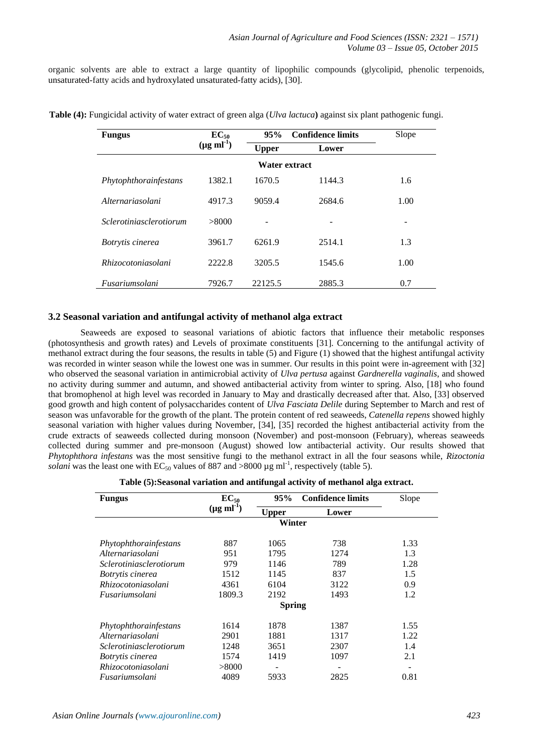organic solvents are able to extract a large quantity of lipophilic compounds (glycolipid, phenolic terpenoids, unsaturated-fatty acids and hydroxylated unsaturated-fatty acids), [30].

| <b>Fungus</b>                  | $EC_{50}$                 | 95%           | <b>Confidence limits</b> |      |
|--------------------------------|---------------------------|---------------|--------------------------|------|
|                                | $(\mu g \text{ ml}^{-1})$ | <b>Upper</b>  | Lower                    |      |
|                                |                           | Water extract |                          |      |
| Phytophthorainfestans          | 1382.1                    | 1670.5        | 1144.3                   | 1.6  |
| Alternariasolani               | 4917.3                    | 9059.4        | 2684.6                   | 1.00 |
| <i>Sclerotiniasclerotiorum</i> | > 8000                    |               |                          |      |
| Botrytis cinerea               | 3961.7                    | 6261.9        | 2514.1                   | 1.3  |
| <i>Rhizocotoniasolani</i>      | 2222.8                    | 3205.5        | 1545.6                   | 1.00 |
| Fusariumsolani                 | 7926.7                    | 22125.5       | 2885.3                   | 0.7  |

**Table (4):** Fungicidal activity of water extract of green alga (*Ulva lactuca***)** against six plant pathogenic fungi.

### **3.2 Seasonal variation and antifungal activity of methanol alga extract**

Seaweeds are exposed to seasonal variations of abiotic factors that influence their metabolic responses (photosynthesis and growth rates) and Levels of proximate constituents [31]. Concerning to the antifungal activity of methanol extract during the four seasons, the results in table (5) and Figure (1) showed that the highest antifungal activity was recorded in winter season while the lowest one was in summer. Our results in this point were in-agreement with [32] who observed the seasonal variation in antimicrobial activity of *Ulva pertusa* against *Gardnerella vaginalis*, and showed no activity during summer and autumn, and showed antibacterial activity from winter to spring. Also, [18] who found that bromophenol at high level was recorded in January to May and drastically decreased after that. Also, [33] observed good growth and high content of polysaccharides content of *Ulva Fasciata Delile* during September to March and rest of season was unfavorable for the growth of the plant. The protein content of red seaweeds, *Catenella repens* showed highly seasonal variation with higher values during November, [34], [35] recorded the highest antibacterial activity from the crude extracts of seaweeds collected during monsoon (November) and post-monsoon (February), whereas seaweeds collected during summer and pre-monsoon (August) showed low antibacterial activity. Our results showed that *Phytophthora infestans* was the most sensitive fungi to the methanol extract in all the four seasons while, *Rizoctonia solani* was the least one with  $EC_{50}$  values of 887 and >8000  $\mu$ g ml<sup>-1</sup>, respectively (table 5).

|  | Table (5):Seasonal variation and antifungal activity of methanol alga extract. |  |  |
|--|--------------------------------------------------------------------------------|--|--|

| <b>Fungus</b>             | $EC_{50}$                 | 95%<br><b>Confidence limits</b> |       | Slope |
|---------------------------|---------------------------|---------------------------------|-------|-------|
|                           | $(\mu g \text{ ml}^{-1})$ | <b>Upper</b>                    | Lower |       |
|                           |                           | Winter                          |       |       |
| Phytophthorainfestans     | 887                       | 1065                            | 738   | 1.33  |
| Alternariasolani          | 951                       | 1795                            | 1274  | 1.3   |
| Sclerotiniasclerotiorum   | 979                       | 1146                            | 789   | 1.28  |
| Botrytis cinerea          | 1512                      | 1145                            | 837   | 1.5   |
| <i>Rhizocotoniasolani</i> | 4361                      | 6104                            | 3122  | 0.9   |
| Fusariumsolani            | 1809.3                    | 2192                            | 1493  | 1.2   |
|                           |                           | <b>Spring</b>                   |       |       |
| Phytophthorainfestans     | 1614                      | 1878                            | 1387  | 1.55  |
| Alternariasolani          | 2901                      | 1881                            | 1317  | 1.22  |
| Sclerotiniasclerotiorum   | 1248                      | 3651                            | 2307  | 1.4   |
| Botrytis cinerea          | 1574                      | 1419                            | 1097  | 2.1   |
| <i>Rhizocotoniasolani</i> | > 8000                    |                                 |       |       |
| Fusariumsolani            | 4089                      | 5933                            | 2825  | 0.81  |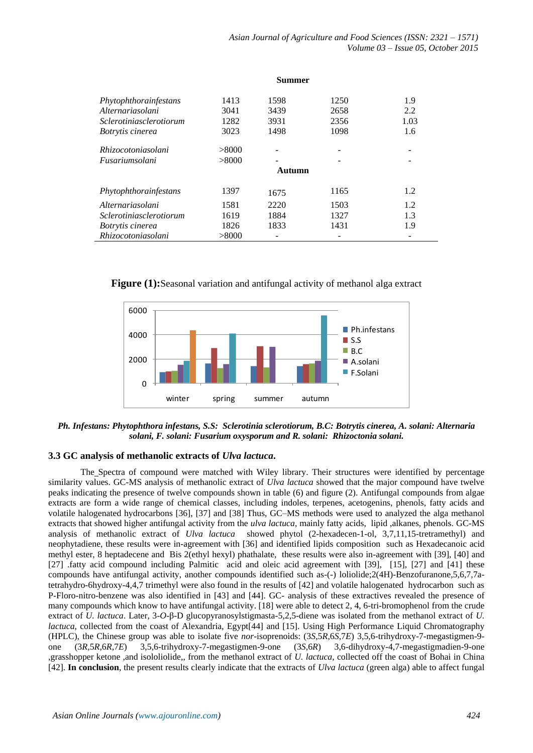|                         |        | Summer |      |      |
|-------------------------|--------|--------|------|------|
| Phytophthorainfestans   | 1413   | 1598   | 1250 | 1.9  |
| Alternariasolani        | 3041   | 3439   | 2658 | 2.2  |
| Sclerotiniasclerotiorum | 1282   | 3931   | 2356 | 1.03 |
| <i>Botrytis cinerea</i> | 3023   | 1498   | 1098 | 1.6  |
| Rhizocotoniasolani      | > 8000 |        |      |      |
| Fusariumsolani          | > 8000 |        |      |      |
|                         |        | Autumn |      |      |
| Phytophthorainfestans   | 1397   | 1675   | 1165 | 1.2  |
| Alternariasolani        | 1581   | 2220   | 1503 | 1.2  |
| Sclerotiniasclerotiorum | 1619   | 1884   | 1327 | 1.3  |
| <i>Botrytis cinerea</i> | 1826   | 1833   | 1431 | 1.9  |
| Rhizocotoniasolani      | > 8000 |        |      |      |

**Figure (1):**Seasonal variation and antifungal activity of methanol alga extract



*Ph. Infestans: Phytophthora infestans, S.S: Sclerotinia sclerotiorum, B.C: Botrytis cinerea, A. solani: Alternaria solani, F. solani: Fusarium oxysporum and R. solani: Rhizoctonia solani.*

## **3.3 GC analysis of methanolic extracts of** *Ulva lactuca***.**

The Spectra of compound were matched with Wiley library. Their structures were identified by percentage similarity values. GC-MS analysis of methanolic extract of *Ulva lactuca* showed that the major compound have twelve peaks indicating the presence of twelve compounds shown in table (6) and figure (2). Antifungal compounds from algae extracts are form a wide range of chemical classes, including indoles, terpenes, acetogenins, phenols, fatty acids and volatile halogenated hydrocarbons [36], [37] and [38] Thus, GC–MS methods were used to analyzed the alga methanol extracts that showed higher antifungal activity from the *ulva lactuca*, mainly fatty acids, lipid ,alkanes, phenols. GC-MS analysis of methanolic extract of *Ulva lactuca* showed phytol (2-hexadecen-1-ol, 3,7,11,15-tretramethyl) and neophytadiene, these results were in-agreement with [36] and identified lipids composition such as Hexadecanoic acid methyl ester, 8 heptadecene and Bis 2(ethyl hexyl) phathalate, these results were also in-agreement with [39], [40] and [27] .fatty acid compound including Palmitic acid and oleic acid agreement with [39], [15], [27] and [41] these compounds have antifungal activity, another compounds identified such as-(-) loliolide;2(4H)-Benzofuranone,5,6,7,7atetrahydro-6hydroxy-4,4,7 trimethyl were also found in the results of [42] and volatile halogenated hydrocarbon such as P-Floro-nitro-benzene was also identified in [43] and [44]. GC- analysis of these extractives revealed the presence of many compounds which know to have antifungal activity. [18] were able to detect 2, 4, 6-tri-bromophenol from the crude extract of *U. lactuca*. Later, 3-*O*-β-D glucopyranosylstigmasta-5,2,5-diene was isolated from the methanol extract of *U. lactuca*, collected from the coast of Alexandria, Egypt<sup>[44]</sup> and [15]. Using High Performance Liquid Chromatography (HPLC), the Chinese group was able to isolate five *nor*-isoprenoids: (3*S*,5*R*,6*S*,7*E*) 3,5,6-trihydroxy-7-megastigmen-9 one (3*R,*5*R,*6*R,*7*E*) 3,5,6-trihydroxy-7-megastigmen-9-one (3*S*,6*R*) 3,6-dihydroxy-4,7-megastigmadien-9-one ,grasshopper ketone ,and isololiolide,, from the methanol extract of *U. lactuca*, collected off the coast of Bohai in China [42]. **In conclusion**, the present results clearly indicate that the extracts of *Ulva lactuca* (green alga) able to affect fungal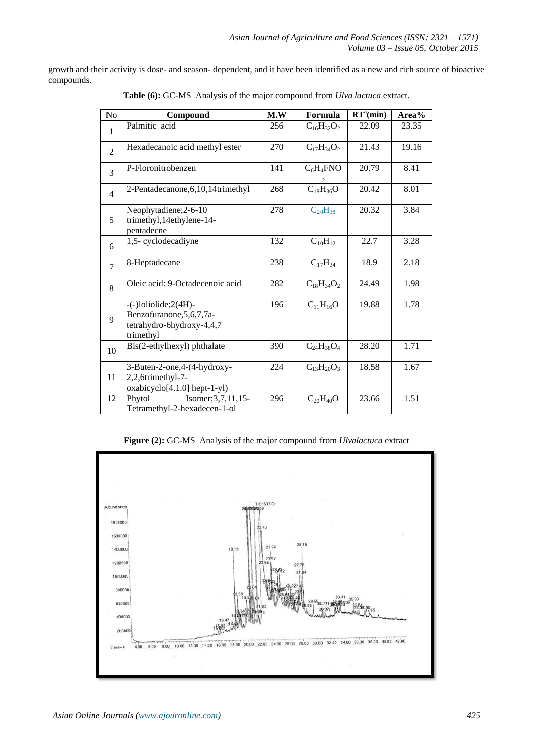growth and their activity is dose- and season- dependent, and it have been identified as a new and rich source of bioactive compounds.

| No             | Compound                                                                                           | M.W | Formula           | RT <sup>a</sup> (min) | Area% |
|----------------|----------------------------------------------------------------------------------------------------|-----|-------------------|-----------------------|-------|
| $\mathbf{1}$   | Palmitic acid                                                                                      | 256 | $C_{16}H_{32}O_2$ | 22.09                 | 23.35 |
| $\overline{2}$ | Hexadecanoic acid methyl ester                                                                     | 270 | $C_{17}H_{34}O_2$ | 21.43                 | 19.16 |
| 3              | P-Floronitrobenzen                                                                                 | 141 | $C_6H_4FNO$       | 20.79                 | 8.41  |
| $\overline{4}$ | 2-Pentadecanone, 6, 10, 14trimethyl                                                                | 268 | $C_{18}H_{36}O$   | 20.42                 | 8.01  |
| 5              | Neophytadiene; 2-6-10<br>trimethyl, 14ethylene-14-<br>pentadecne                                   | 278 | $C_{20}H_{38}$    | 20.32                 | 3.84  |
| 6              | 1,5-cyclodecadiyne                                                                                 | 132 | $C_{10}H_{12}$    | 22.7                  | 3.28  |
| $\tau$         | 8-Heptadecane                                                                                      | 238 | $C_{17}H_{34}$    | 18.9                  | 2.18  |
| 8              | Oleic acid: 9-Octadecenoic acid                                                                    | 282 | $C_{18}H_{34}O_2$ | 24.49                 | 1.98  |
| 9              | $-(-)$ loliolide; $2(4H)$<br>Benzofuranone, 5, 6, 7, 7a-<br>tetrahydro-6hydroxy-4,4,7<br>trimethyl | 196 | $C_{11}H_{16}O$   | 19.88                 | 1.78  |
| 10             | Bis(2-ethylhexyl) phthalate                                                                        | 390 | $C_{24}H_{38}O_4$ | 28.20                 | 1.71  |
| 11             | 3-Buten-2-one, 4-(4-hydroxy-<br>2,2,6trimethyl-7-<br>oxabicyclo[4.1.0] hept-1-yl)                  | 224 | $C_{13}H_{20}O_3$ | 18.58                 | 1.67  |
| 12             | Phytol<br>Isomer; $3, 7, 11, 15$<br>Tetramethyl-2-hexadecen-1-ol                                   | 296 | $C_{20}H_{40}O$   | 23.66                 | 1.51  |

**Table (6):** GC-MS Analysis of the major compound from *Ulva lactuca* extract.

**Figure (2):** GC-MS Analysis of the major compound from *Ulvalactuca* extract

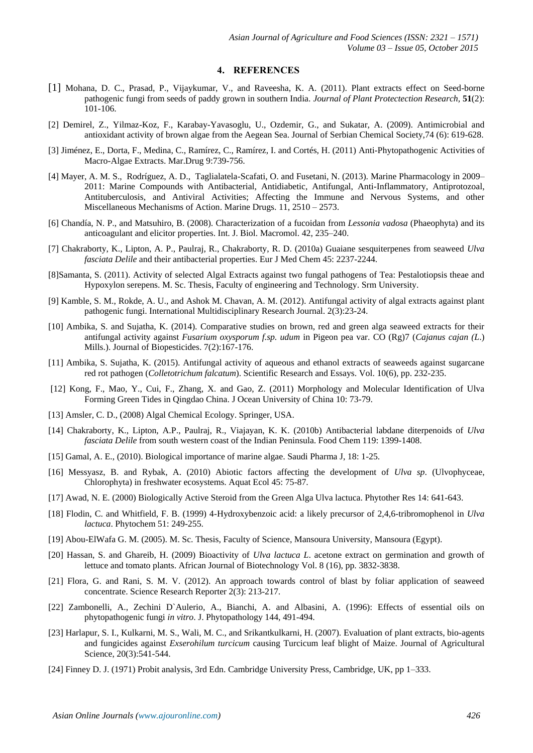#### **4. REFERENCES**

- [1] Mohana, D. C., Prasad, P., Vijaykumar, V., and Raveesha, K. A. (2011). Plant extracts effect on Seed-borne pathogenic fungi from seeds of paddy grown in southern India. *Journal of Plant Protectection Research,* **51**(2): 101-106.
- [2] Demirel, Z., Yilmaz-Koz, F., Karabay-Yavasoglu, U., Ozdemir, G., and Sukatar, A. (2009). Antimicrobial and antioxidant activity of brown algae from the Aegean Sea. Journal of Serbian Chemical Society,74 (6): 619-628.
- [3] Jiménez, E., Dorta, F., Medina, C., Ramírez, C., Ramírez, I. and Cortés, H. (2011) Anti-Phytopathogenic Activities of Macro-Algae Extracts. Mar.Drug 9:739-756.
- [4] Mayer, A. M. S., Rodríguez, A. D., Taglialatela-Scafati, O. and Fusetani, N. (2013). Marine Pharmacology in 2009– 2011: Marine Compounds with Antibacterial, Antidiabetic, Antifungal, Anti-Inflammatory, Antiprotozoal, Antituberculosis, and Antiviral Activities; Affecting the Immune and Nervous Systems, and other Miscellaneous Mechanisms of Action. Marine Drugs. 11, 2510 – 2573.
- [6] Chandía, N. P., and Matsuhiro, B. (2008). Characterization of a fucoidan from *Lessonia vadosa* (Phaeophyta) and its anticoagulant and elicitor properties. Int. J. Biol. Macromol. 42, 235–240.
- [7] Chakraborty, K., Lipton, A. P., Paulraj, R., Chakraborty, R. D. (2010a) Guaiane sesquiterpenes from seaweed *Ulva fasciata Delile* and their antibacterial properties. Eur J Med Chem 45: 2237-2244.
- [8]Samanta, S. (2011). Activity of selected Algal Extracts against two fungal pathogens of Tea: Pestalotiopsis theae and Hypoxylon serepens. M. Sc. Thesis, Faculty of engineering and Technology. Srm University.
- [9] Kamble, S. M., Rokde, A. U., and Ashok M. Chavan, A. M. (2012). Antifungal activity of algal extracts against plant pathogenic fungi. International Multidisciplinary Research Journal. 2(3):23-24.
- [10] Ambika, S. and Sujatha, K. (2014). Comparative studies on brown, red and green alga seaweed extracts for their antifungal activity against *Fusarium oxysporum f.sp. udum* in Pigeon pea var. CO (Rg)7 (*Cajanus cajan (L*.) Mills.). Journal of Biopesticides. 7(2):167-176.
- [11] Ambika, S. Sujatha, K. (2015). Antifungal activity of aqueous and ethanol extracts of seaweeds against sugarcane red rot pathogen (*Colletotrichum falcatum*). Scientific Research and Essays. Vol. 10(6), pp. 232-235.
- [12] Kong, F., Mao, Y., Cui, F., Zhang, X. and Gao, Z. (2011) Morphology and Molecular Identification of Ulva Forming Green Tides in Qingdao China. J Ocean University of China 10: 73-79.
- [13] Amsler, C. D., (2008) Algal Chemical Ecology. Springer, USA.
- [14] Chakraborty, K., Lipton, A.P., Paulraj, R., Viajayan, K. K. (2010b) Antibacterial labdane diterpenoids of *Ulva fasciata Delile* from south western coast of the Indian Peninsula. Food Chem 119: 1399-1408.
- [15] Gamal, A. E., (2010). Biological importance of marine algae. Saudi Pharma J, 18: 1-25.
- [16] Messyasz, B. and Rybak, A. (2010) Abiotic factors affecting the development of *Ulva sp*. (Ulvophyceae, Chlorophyta) in freshwater ecosystems. Aquat Ecol 45: 75-87.
- [17] Awad, N. E. (2000) Biologically Active Steroid from the Green Alga Ulva lactuca. Phytother Res 14: 641-643.
- [18] Flodin, C. and Whitfield, F. B. (1999) 4-Hydroxybenzoic acid: a likely precursor of 2,4,6-tribromophenol in *Ulva lactuca*. Phytochem 51: 249-255.
- [19] Abou-ElWafa G. M. (2005). M. Sc. Thesis, Faculty of Science, Mansoura University, Mansoura (Egypt).
- [20] Hassan, S. and Ghareib, H. (2009) Bioactivity of *Ulva lactuca L*. acetone extract on germination and growth of lettuce and tomato plants. African Journal of Biotechnology Vol. 8 (16), pp. 3832-3838.
- [21] Flora, G. and Rani, S. M. V. (2012). An approach towards control of blast by foliar application of seaweed concentrate. Science Research Reporter 2(3): 213-217.
- [22] Zambonelli, A., Zechini D`Aulerio, A., Bianchi, A. and Albasini, A. (1996): Effects of essential oils on phytopathogenic fungi *in vitro*. J. Phytopathology 144, 491-494.
- [23] Harlapur, S. I., Kulkarni, M. S., Wali, M. C., and Srikantkulkarni, H. (2007). Evaluation of plant extracts, bio-agents and fungicides against *Exserohilum turcicum* causing Turcicum leaf blight of Maize. Journal of Agricultural Science, 20(3):541-544.
- [24] Finney D. J. (1971) Probit analysis, 3rd Edn. Cambridge University Press, Cambridge, UK, pp 1–333.